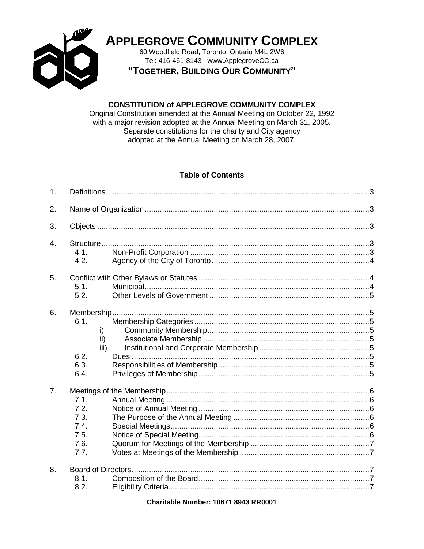

**APPLEGROVE COMMUNITY COMPLEX** 

60 Woodfield Road, Toronto, Ontario M4L 2W6 Tel: 416-461-8143 www.ApplegroveCC.ca

"TOGETHER, BUILDING OUR COMMUNITY"

### **CONSTITUTION of APPLEGROVE COMMUNITY COMPLEX**

Original Constitution amended at the Annual Meeting on October 22, 1992 with a major revision adopted at the Annual Meeting on March 31, 2005. Separate constitutions for the charity and City agency adopted at the Annual Meeting on March 28, 2007.

### **Table of Contents**

| 1.               |                                                      |  |  |  |  |
|------------------|------------------------------------------------------|--|--|--|--|
| 2.               |                                                      |  |  |  |  |
| 3.               |                                                      |  |  |  |  |
| $\overline{4}$ . | 4.1.<br>4.2.                                         |  |  |  |  |
| 5.               | 5.1.<br>5.2.                                         |  |  |  |  |
| 6.               | 6.1.<br>i)<br>ii)<br>iii)<br>6.2.<br>6.3.<br>6.4.    |  |  |  |  |
| 7.               | 7.1.<br>7.2.<br>7.3.<br>7.4.<br>7.5.<br>7.6.<br>7.7. |  |  |  |  |
| 8.               | 8.1.<br>8.2.                                         |  |  |  |  |

**Charitable Number: 10671 8943 RR0001**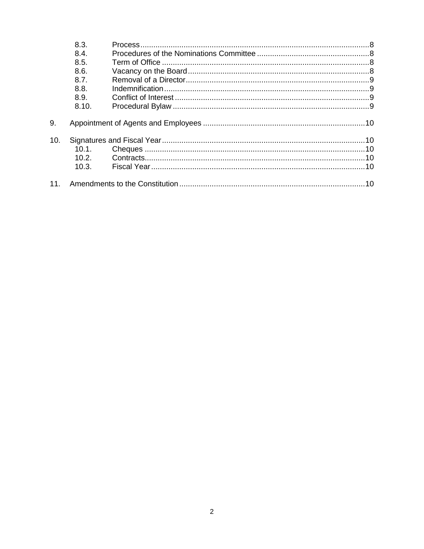|     | 8.3.  |  |  |
|-----|-------|--|--|
|     | 8.4.  |  |  |
|     | 8.5.  |  |  |
|     | 8.6.  |  |  |
|     | 8.7.  |  |  |
|     | 8.8.  |  |  |
|     | 8.9.  |  |  |
|     | 8.10. |  |  |
| 9.  |       |  |  |
| 10. |       |  |  |
|     | 10.1. |  |  |
|     | 10.2. |  |  |
|     | 10.3. |  |  |
| 11. |       |  |  |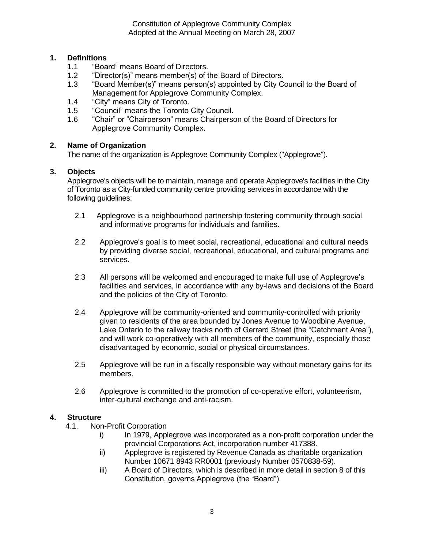# <span id="page-2-0"></span>**1. Definitions**

- 1.1 "Board" means Board of Directors.
- 1.2 "Director(s)" means member(s) of the Board of Directors.<br>1.3 "Board Member(s)" means person(s) appointed by City Co
- 1.3 "Board Member(s)" means person(s) appointed by City Council to the Board of Management for Applegrove Community Complex.
- 1.4 "City" means City of Toronto.
- 1.5 "Council" means the Toronto City Council.
- 1.6 "Chair" or "Chairperson" means Chairperson of the Board of Directors for Applegrove Community Complex.

### <span id="page-2-1"></span>**2. Name of Organization**

The name of the organization is Applegrove Community Complex ("Applegrove").

#### <span id="page-2-2"></span>**3. Objects**

Applegrove's objects will be to maintain, manage and operate Applegrove's facilities in the City of Toronto as a City-funded community centre providing services in accordance with the following guidelines:

- 2.1 Applegrove is a neighbourhood partnership fostering community through social and informative programs for individuals and families.
- 2.2 Applegrove's goal is to meet social, recreational, educational and cultural needs by providing diverse social, recreational, educational, and cultural programs and services.
- 2.3 All persons will be welcomed and encouraged to make full use of Applegrove's facilities and services, in accordance with any by-laws and decisions of the Board and the policies of the City of Toronto.
- 2.4 Applegrove will be community-oriented and community-controlled with priority given to residents of the area bounded by Jones Avenue to Woodbine Avenue, Lake Ontario to the railway tracks north of Gerrard Street (the "Catchment Area"), and will work co-operatively with all members of the community, especially those disadvantaged by economic, social or physical circumstances.
- 2.5 Applegrove will be run in a fiscally responsible way without monetary gains for its members.
- 2.6 Applegrove is committed to the promotion of co-operative effort, volunteerism, inter-cultural exchange and anti-racism.

### <span id="page-2-4"></span><span id="page-2-3"></span>**4. Structure**

- 4.1. Non-Profit Corporation
	- i) In 1979, Applegrove was incorporated as a non-profit corporation under the provincial Corporations Act, incorporation number 417388.
	- ii) Applegrove is registered by Revenue Canada as charitable organization Number 10671 8943 RR0001 (previously Number 0570838-59).
	- iii) A Board of Directors, which is described in more detail in section 8 of this Constitution, governs Applegrove (the "Board").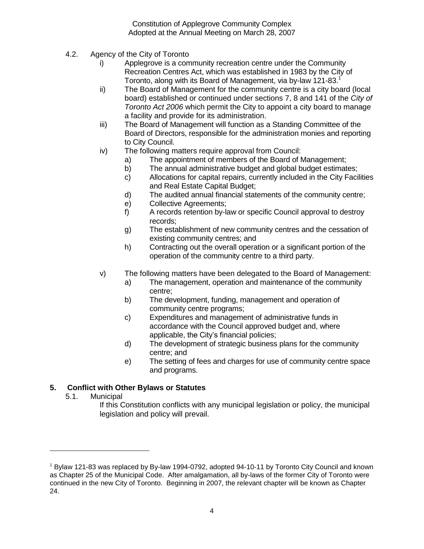- <span id="page-3-0"></span>4.2. Agency of the City of Toronto
	- i) Applegrove is a community recreation centre under the Community Recreation Centres Act, which was established in 1983 by the City of Toronto, along with its Board of Management, via by-law 121-83.<sup>1</sup>
	- ii) The Board of Management for the community centre is a city board (local board) established or continued under sections 7, 8 and 141 of the *City of Toronto Act 2006* which permit the City to appoint a city board to manage a facility and provide for its administration.
	- iii) The Board of Management will function as a Standing Committee of the Board of Directors, responsible for the administration monies and reporting to City Council.
	- iv) The following matters require approval from Council:
		- a) The appointment of members of the Board of Management;
		- b) The annual administrative budget and global budget estimates;
		- c) Allocations for capital repairs, currently included in the City Facilities and Real Estate Capital Budget;
		- d) The audited annual financial statements of the community centre;
		- e) Collective Agreements;
		- f) A records retention by-law or specific Council approval to destroy records;
		- g) The establishment of new community centres and the cessation of existing community centres; and
		- h) Contracting out the overall operation or a significant portion of the operation of the community centre to a third party.
	- v) The following matters have been delegated to the Board of Management:
		- a) The management, operation and maintenance of the community centre;
		- b) The development, funding, management and operation of community centre programs;
		- c) Expenditures and management of administrative funds in accordance with the Council approved budget and, where applicable, the City's financial policies;
		- d) The development of strategic business plans for the community centre; and
		- e) The setting of fees and charges for use of community centre space and programs.

# <span id="page-3-2"></span><span id="page-3-1"></span>**5. Conflict with Other Bylaws or Statutes**

5.1. Municipal

 $\overline{a}$ 

If this Constitution conflicts with any municipal legislation or policy, the municipal legislation and policy will prevail.

<sup>1</sup> Bylaw 121-83 was replaced by By-law 1994-0792, adopted 94-10-11 by Toronto City Council and known as Chapter 25 of the Municipal Code. After amalgamation, all by-laws of the former City of Toronto were continued in the new City of Toronto. Beginning in 2007, the relevant chapter will be known as Chapter 24.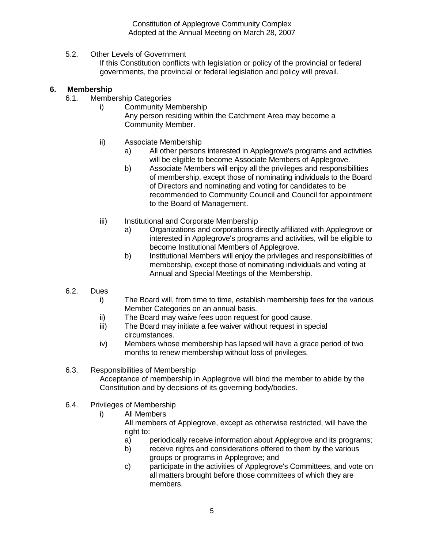<span id="page-4-0"></span>5.2. Other Levels of Government

If this Constitution conflicts with legislation or policy of the provincial or federal governments, the provincial or federal legislation and policy will prevail.

### <span id="page-4-3"></span><span id="page-4-2"></span><span id="page-4-1"></span>**6. Membership**

- <span id="page-4-4"></span>6.1. Membership Categories
	- i) Community Membership Any person residing within the Catchment Area may become a Community Member.
	- ii) Associate Membership
		- a) All other persons interested in Applegrove's programs and activities will be eligible to become Associate Members of Applegrove.
		- b) Associate Members will enjoy all the privileges and responsibilities of membership, except those of nominating individuals to the Board of Directors and nominating and voting for candidates to be recommended to Community Council and Council for appointment to the Board of Management.
	- iii) Institutional and Corporate Membership
		- a) Organizations and corporations directly affiliated with Applegrove or interested in Applegrove's programs and activities, will be eligible to become Institutional Members of Applegrove.
		- b) Institutional Members will enjoy the privileges and responsibilities of membership, except those of nominating individuals and voting at Annual and Special Meetings of the Membership.
- <span id="page-4-6"></span><span id="page-4-5"></span>6.2. Dues
	- i) The Board will, from time to time, establish membership fees for the various Member Categories on an annual basis.
	- ii) The Board may waive fees upon request for good cause.
	- iii) The Board may initiate a fee waiver without request in special circumstances.
	- iv) Members whose membership has lapsed will have a grace period of two months to renew membership without loss of privileges.
- <span id="page-4-7"></span>6.3. Responsibilities of Membership Acceptance of membership in Applegrove will bind the member to abide by the Constitution and by decisions of its governing body/bodies.
- <span id="page-4-8"></span>6.4. Privileges of Membership
	- i) All Members

All members of Applegrove, except as otherwise restricted, will have the right to:

- a) periodically receive information about Applegrove and its programs;
- b) receive rights and considerations offered to them by the various groups or programs in Applegrove; and
- c) participate in the activities of Applegrove's Committees, and vote on all matters brought before those committees of which they are members.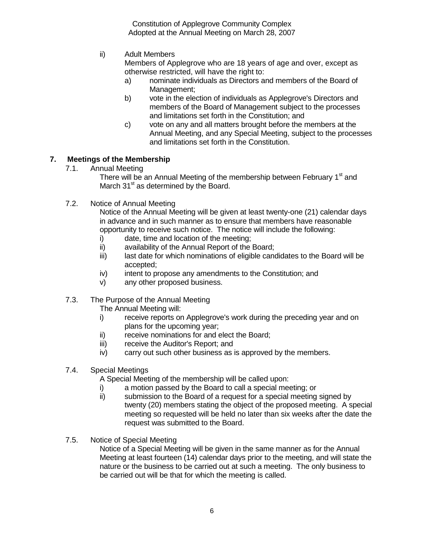ii) Adult Members

Members of Applegrove who are 18 years of age and over, except as otherwise restricted, will have the right to:

- a) nominate individuals as Directors and members of the Board of Management;
- b) vote in the election of individuals as Applegrove's Directors and members of the Board of Management subject to the processes and limitations set forth in the Constitution; and
- c) vote on any and all matters brought before the members at the Annual Meeting, and any Special Meeting, subject to the processes and limitations set forth in the Constitution.

### <span id="page-5-1"></span><span id="page-5-0"></span>**7. Meetings of the Membership**

7.1. Annual Meeting

There will be an Annual Meeting of the membership between February 1<sup>st</sup> and March  $31<sup>st</sup>$  as determined by the Board.

<span id="page-5-2"></span>7.2. Notice of Annual Meeting

Notice of the Annual Meeting will be given at least twenty-one (21) calendar days in advance and in such manner as to ensure that members have reasonable opportunity to receive such notice. The notice will include the following:

- i) date, time and location of the meeting;
- ii) availability of the Annual Report of the Board;
- iii) last date for which nominations of eligible candidates to the Board will be accepted;
- iv) intent to propose any amendments to the Constitution; and
- v) any other proposed business.
- <span id="page-5-3"></span>7.3. The Purpose of the Annual Meeting

The Annual Meeting will:

- i) receive reports on Applegrove's work during the preceding year and on plans for the upcoming year;
- ii) receive nominations for and elect the Board;
- iii) receive the Auditor's Report; and
- iv) carry out such other business as is approved by the members.
- <span id="page-5-4"></span>7.4. Special Meetings

A Special Meeting of the membership will be called upon:

- i) a motion passed by the Board to call a special meeting; or
- ii) submission to the Board of a request for a special meeting signed by twenty (20) members stating the object of the proposed meeting. A special meeting so requested will be held no later than six weeks after the date the request was submitted to the Board.
- <span id="page-5-5"></span>7.5. Notice of Special Meeting

Notice of a Special Meeting will be given in the same manner as for the Annual Meeting at least fourteen (14) calendar days prior to the meeting, and will state the nature or the business to be carried out at such a meeting. The only business to be carried out will be that for which the meeting is called.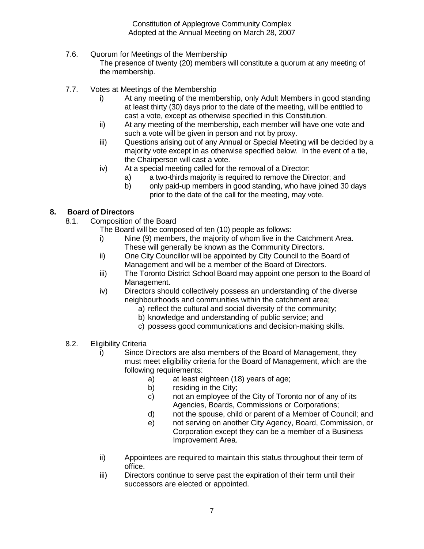# <span id="page-6-0"></span>7.6. Quorum for Meetings of the Membership

The presence of twenty (20) members will constitute a quorum at any meeting of the membership.

- <span id="page-6-1"></span>7.7. Votes at Meetings of the Membership
	- i) At any meeting of the membership, only Adult Members in good standing at least thirty (30) days prior to the date of the meeting, will be entitled to cast a vote, except as otherwise specified in this Constitution.
	- ii) At any meeting of the membership, each member will have one vote and such a vote will be given in person and not by proxy.
	- iii) Questions arising out of any Annual or Special Meeting will be decided by a majority vote except in as otherwise specified below. In the event of a tie, the Chairperson will cast a vote.
	- iv) At a special meeting called for the removal of a Director:
		- a) a two-thirds majority is required to remove the Director; and
		- b) only paid-up members in good standing, who have joined 30 days prior to the date of the call for the meeting, may vote.

# <span id="page-6-3"></span><span id="page-6-2"></span>**8. Board of Directors**

8.1. Composition of the Board

The Board will be composed of ten (10) people as follows:

- i) Nine (9) members, the majority of whom live in the Catchment Area. These will generally be known as the Community Directors.
- ii) One City Councillor will be appointed by City Council to the Board of Management and will be a member of the Board of Directors.
- iii) The Toronto District School Board may appoint one person to the Board of Management.
- iv) Directors should collectively possess an understanding of the diverse neighbourhoods and communities within the catchment area;
	- a) reflect the cultural and social diversity of the community;
	- b) knowledge and understanding of public service; and
	- c) possess good communications and decision-making skills.
- <span id="page-6-4"></span>8.2. Eligibility Criteria
	- i) Since Directors are also members of the Board of Management, they must meet eligibility criteria for the Board of Management, which are the following requirements:
		- a) at least eighteen (18) years of age;
		- b) residing in the City;
		- c) not an employee of the City of Toronto nor of any of its Agencies, Boards, Commissions or Corporations;
		- d) not the spouse, child or parent of a Member of Council; and
		- e) not serving on another City Agency, Board, Commission, or Corporation except they can be a member of a Business Improvement Area.
	- ii) Appointees are required to maintain this status throughout their term of office.
	- iii) Directors continue to serve past the expiration of their term until their successors are elected or appointed.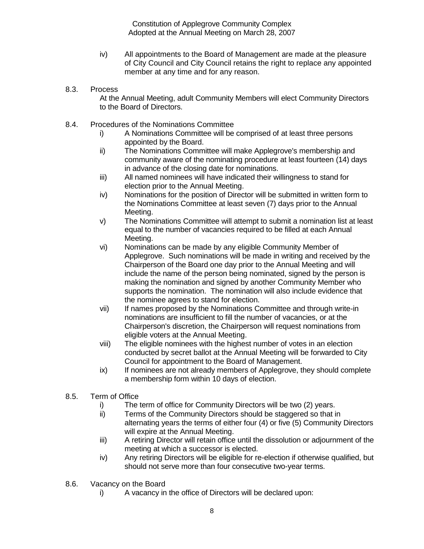- iv) All appointments to the Board of Management are made at the pleasure of City Council and City Council retains the right to replace any appointed member at any time and for any reason.
- <span id="page-7-0"></span>8.3. Process

At the Annual Meeting, adult Community Members will elect Community Directors to the Board of Directors.

- <span id="page-7-1"></span>8.4. Procedures of the Nominations Committee
	- i) A Nominations Committee will be comprised of at least three persons appointed by the Board.
	- ii) The Nominations Committee will make Applegrove's membership and community aware of the nominating procedure at least fourteen (14) days in advance of the closing date for nominations.
	- iii) All named nominees will have indicated their willingness to stand for election prior to the Annual Meeting.
	- iv) Nominations for the position of Director will be submitted in written form to the Nominations Committee at least seven (7) days prior to the Annual Meeting.
	- v) The Nominations Committee will attempt to submit a nomination list at least equal to the number of vacancies required to be filled at each Annual Meeting.
	- vi) Nominations can be made by any eligible Community Member of Applegrove. Such nominations will be made in writing and received by the Chairperson of the Board one day prior to the Annual Meeting and will include the name of the person being nominated, signed by the person is making the nomination and signed by another Community Member who supports the nomination. The nomination will also include evidence that the nominee agrees to stand for election.
	- vii) If names proposed by the Nominations Committee and through write-in nominations are insufficient to fill the number of vacancies, or at the Chairperson's discretion, the Chairperson will request nominations from eligible voters at the Annual Meeting.
	- viii) The eligible nominees with the highest number of votes in an election conducted by secret ballot at the Annual Meeting will be forwarded to City Council for appointment to the Board of Management.
	- ix) If nominees are not already members of Applegrove, they should complete a membership form within 10 days of election.
- <span id="page-7-2"></span>8.5. Term of Office
	- i) The term of office for Community Directors will be two (2) years.
	- ii) Terms of the Community Directors should be staggered so that in alternating years the terms of either four (4) or five (5) Community Directors will expire at the Annual Meeting.
	- iii) A retiring Director will retain office until the dissolution or adjournment of the meeting at which a successor is elected.
	- iv) Any retiring Directors will be eligible for re-election if otherwise qualified, but should not serve more than four consecutive two-year terms.
- <span id="page-7-3"></span>8.6. Vacancy on the Board
	- i) A vacancy in the office of Directors will be declared upon: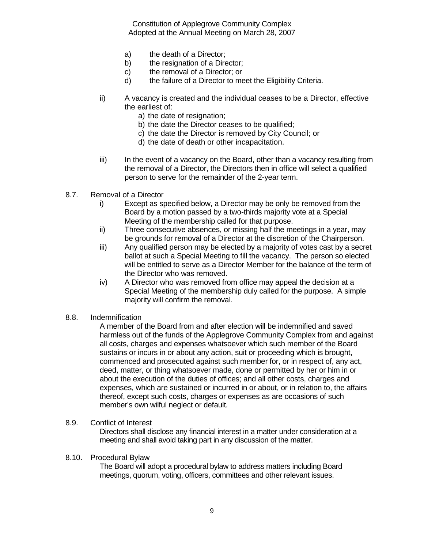- a) the death of a Director;
- b) the resignation of a Director;
- c) the removal of a Director; or
- d) the failure of a Director to meet the Eligibility Criteria.
- ii) A vacancy is created and the individual ceases to be a Director, effective the earliest of:
	- a) the date of resignation;
	- b) the date the Director ceases to be qualified;
	- c) the date the Director is removed by City Council; or
	- d) the date of death or other incapacitation.
- iii) In the event of a vacancy on the Board, other than a vacancy resulting from the removal of a Director, the Directors then in office will select a qualified person to serve for the remainder of the 2-year term.
- <span id="page-8-0"></span>8.7. Removal of a Director
	- i) Except as specified below, a Director may be only be removed from the Board by a motion passed by a two-thirds majority vote at a Special Meeting of the membership called for that purpose.
	- ii) Three consecutive absences, or missing half the meetings in a year, may be grounds for removal of a Director at the discretion of the Chairperson.
	- iii) Any qualified person may be elected by a majority of votes cast by a secret ballot at such a Special Meeting to fill the vacancy. The person so elected will be entitled to serve as a Director Member for the balance of the term of the Director who was removed.
	- iv) A Director who was removed from office may appeal the decision at a Special Meeting of the membership duly called for the purpose. A simple majority will confirm the removal.
- <span id="page-8-1"></span>8.8. Indemnification

A member of the Board from and after election will be indemnified and saved harmless out of the funds of the Applegrove Community Complex from and against all costs, charges and expenses whatsoever which such member of the Board sustains or incurs in or about any action, suit or proceeding which is brought, commenced and prosecuted against such member for, or in respect of, any act, deed, matter, or thing whatsoever made, done or permitted by her or him in or about the execution of the duties of offices; and all other costs, charges and expenses, which are sustained or incurred in or about, or in relation to, the affairs thereof, except such costs, charges or expenses as are occasions of such member's own wilful neglect or default*.*

<span id="page-8-2"></span>8.9. Conflict of Interest

Directors shall disclose any financial interest in a matter under consideration at a meeting and shall avoid taking part in any discussion of the matter.

#### <span id="page-8-3"></span>8.10. Procedural Bylaw

The Board will adopt a procedural bylaw to address matters including Board meetings, quorum, voting, officers, committees and other relevant issues.